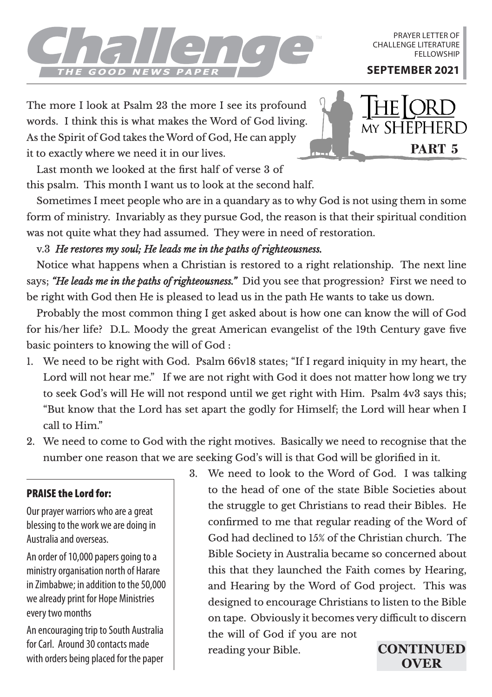

PRAYER LETTER OF CHALLENGE LITERATURE **FELLOWSHIP** 

The more I look at Psalm 23 the more I see its profound words. I think this is what makes the Word of God living. As the Spirit of God takes the Word of God, He can apply it to exactly where we need it in our lives.



this psalm. This month I want us to look at the second half. Last month we looked at the first half of verse 3 of

Sometimes I meet people who are in a quandary as to why God is not using them in some form of ministry. Invariably as they pursue God, the reason is that their spiritual condition was not quite what they had assumed. They were in need of restoration.

v.3 *He restores my soul; He leads me in the paths of righteousness.*

Notice what happens when a Christian is restored to a right relationship. The next line says; *"He leads me in the paths of righteousness."* Did you see that progression? First we need to be right with God then He is pleased to lead us in the path He wants to take us down.

Probably the most common thing I get asked about is how one can know the will of God for his/her life? D.L. Moody the great American evangelist of the 19th Century gave five basic pointers to knowing the will of God :

- 1. We need to be right with God. Psalm 66v18 states; "If I regard iniquity in my heart, the Lord will not hear me." If we are not right with God it does not matter how long we try to seek God's will He will not respond until we get right with Him. Psalm 4v3 says this; "But know that the Lord has set apart the godly for Himself; the Lord will hear when I call to Him."
- 2. We need to come to God with the right motives. Basically we need to recognise that the number one reason that we are seeking God's will is that God will be glorified in it.

## PRAISE the Lord for:

Our prayer warriors who are a great blessing to the work we are doing in Australia and overseas.

An order of 10,000 papers going to a ministry organisation north of Harare in Zimbabwe; in addition to the 50,000 we already print for Hope Ministries every two months

An encouraging trip to South Australia for Carl. Around 30 contacts made with orders being placed for the paper 3. We need to look to the Word of God. I was talking to the head of one of the state Bible Societies about the struggle to get Christians to read their Bibles. He confirmed to me that regular reading of the Word of God had declined to 15% of the Christian church. The Bible Society in Australia became so concerned about this that they launched the Faith comes by Hearing, and Hearing by the Word of God project. This was designed to encourage Christians to listen to the Bible on tape. Obviously it becomes very difficult to discern the will of God if you are not reading your Bible. **CONTINUED** 

**OVER**